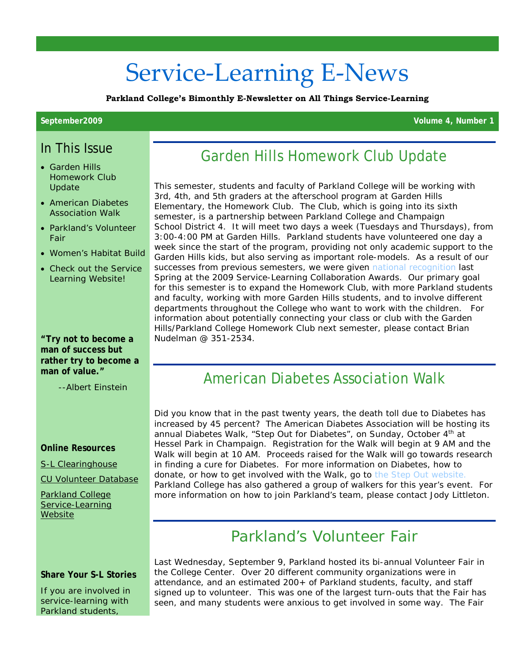# Service-Learning E-News

**Parkland College's Bimonthly E-Newsletter on All Things Service-Learning**

**September2009 Volume 4, Number 1**

#### In This Issue

- Garden Hills Homework Club Update
- American Diabetes Association Walk
- Parkland's Volunteer Fair
- Women's Habitat Build
- Check out the Service Learning Website!

**"Try not to become a man of success but rather try to become a man of value."**

--Albert Einstein

#### **Online Resources**

[S-L Clearinghouse](http://www.servicelearning.org/)

[CU Volunteer Database](http://www.cuvolunteer.org/)

[Parkland College](http://www.parkland.edu/academics/service-learning)  [Service-Learning](http://www.parkland.edu/academics/service-learning)  **[Website](http://www.parkland.edu/academics/service-learning)** 

#### **Share Your S-L Stories**

If you are involved in service-learning with Parkland students,

# Garden Hills Homework Club Update

This semester, students and faculty of Parkland College will be working with 3rd, 4th, and 5th graders at the afterschool program at Garden Hills Elementary, the Homework Club. The Club, which is going into its sixth semester, is a partnership between Parkland College and Champaign School District 4. It will meet two days a week (Tuesdays and Thursdays), from 3:00-4:00 PM at Garden Hills. Parkland students have volunteered one day a week since the start of the program, providing not only academic support to the Garden Hills kids, but also serving as important role-models. As a result of our successes from previous semesters, we were given [national recognition](http://www.mc.maricopa.edu/other/engagement/2009Awards.shtml) last Spring at the 2009 Service-Learning Collaboration Awards. Our primary goal for this semester is to expand the Homework Club, with more Parkland students and faculty, working with more Garden Hills students, and to involve different departments throughout the College who want to work with the children. For information about potentially connecting your class or club with the Garden Hills/Parkland College Homework Club next semester, please contact Brian Nudelman @ 351-2534.

### American Diabetes Association Walk

Did you know that in the past twenty years, the death toll due to Diabetes has increased by 45 percent? The American Diabetes Association will be hosting its annual Diabetes Walk, "Step Out for Diabetes", on Sunday, October 4<sup>th</sup> at Hessel Park in Champaign. Registration for the Walk will begin at 9 AM and the Walk will begin at 10 AM. Proceeds raised for the Walk will go towards research in finding a cure for Diabetes. For more information on Diabetes, how to donate, or how to get involved with the Walk, go to [the Step Out website.](http://stepout.diabetes.org/site/PageServer?pagename=OUT_homepage)  Parkland College has also gathered a group of walkers for this year's event. For more information on how to join Parkland's team, please contact Jody Littleton.

# Parkland's Volunteer Fair

Last Wednesday, September 9, Parkland hosted its bi-annual Volunteer Fair in the College Center. Over 20 different community organizations were in attendance, and an estimated 200+ of Parkland students, faculty, and staff signed up to volunteer. This was one of the largest turn-outs that the Fair has seen, and many students were anxious to get involved in some way. The Fair